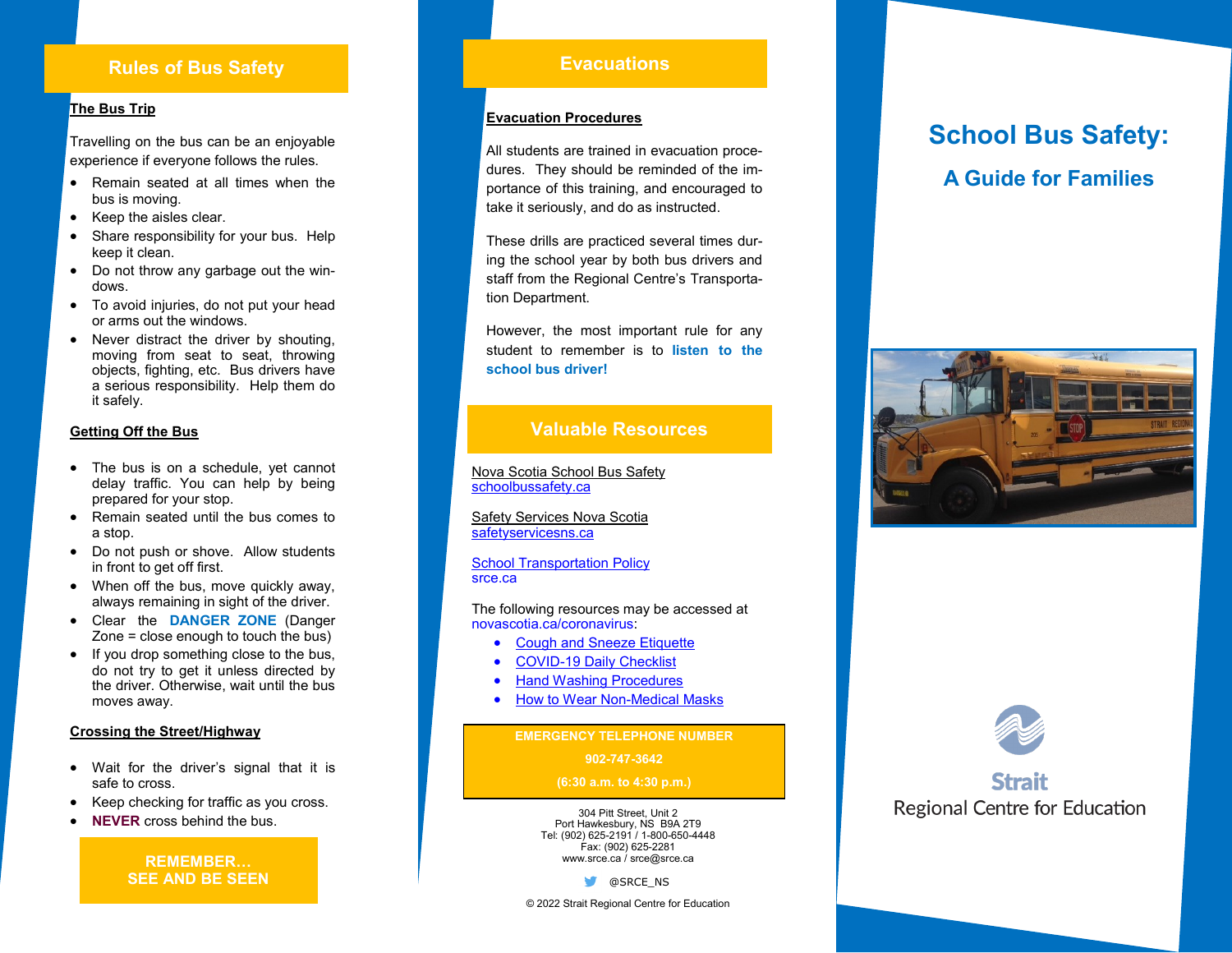# **Rules of Bus Safety**

## **The Bus Trip**

Travelling on the bus can be an enjoyable experience if everyone follows the rules.

- Remain seated at all times when the bus is moving.
- Keep the aisles clear.
- Share responsibility for your bus. Help keep it clean.
- Do not throw any garbage out the windows.
- To avoid injuries, do not put your head or arms out the windows.
- Never distract the driver by shouting. moving from seat to seat, throwing objects, fighting, etc. Bus drivers have a serious responsibility. Help them do it safely.

#### **Getting Off the Bus**

- The bus is on a schedule, yet cannot delay traffic. You can help by being prepared for your stop.
- Remain seated until the bus comes to a stop.
- Do not push or shove. Allow students in front to get off first.
- When off the bus, move quickly away, always remaining in sight of the driver.
- Clear the **DANGER ZONE** (Danger Zone = close enough to touch the bus)
- If you drop something close to the bus, do not try to get it unless directed by the driver. Otherwise, wait until the bus moves away.

### **Crossing the Street/Highway**

- Wait for the driver's signal that it is safe to cross.
- Keep checking for traffic as you cross.
- 

**REMEMBER … SEE AND BE SEEN**

# **Evacuations**

### **Evacuation Procedures**

All students are trained in evacuation procedures. They should be reminded of the importance of this training, and encouraged to take it seriously, and do as instructed.

These drills are practiced several times during the school year by both bus drivers and staff from the Regional Centre 's Transportation Department.

However, the most important rule for any student to remember is to **listen to the school bus driver!**

## **Valuable Resources**

Nova Scotia School Bus Safety [schoolbussafety.ca](https://www.schoolbussafety.ca/)

Safety Services Nova Scotia [safetyservicesns.ca](https://www.safetyservicesns.ca/)

[School Transportation Policy](https://www.ednet.ns.ca/docs/schooltransportationpolicyen.pdf) srce.ca

The following resources may be accessed at novascotia.ca/coronavirus:

- **[Cough and Sneeze Etiquette](https://novascotia.ca/coronavirus/docs/COVID-19-cough-and-sneeze-etiquette-poster-en.pdf)**
- COVID-[19 Daily Checklist](https://novascotia.ca/coronavirus/docs/Daily-COVID-checklist-en.pdf)
- [Hand Washing Procedures](https://novascotia.ca/coronavirus/docs/Hand-Washing-Poster.pdf)
- [How to Wear Non](https://novascotia.ca/coronavirus/docs/Wearing-a-mask-poster-en.pdf)-Medical Masks

**EMERGENCY TELEPHONE NUMBER**

#### **902 -747 -3642**

#### **(6:30 a.m. to 4:30 p.m.)**

external of the business of the business of the business of the business of the business of the business of the business of the business of the business of the business of the business of the business of the business of th Port Hawkesbury, NS B9A 2T9 Tel: (902) 625 -2191 / 1 -800 -650 -4448 Fax: (902) 625 -2281 www.srce.ca / srce@srce.ca

**S** @SRCE\_NS

**School Bus Safety: A Guide for Families**





# Strail **Regional Centre for Education**

© 2022 Strait Regional Centre for Education